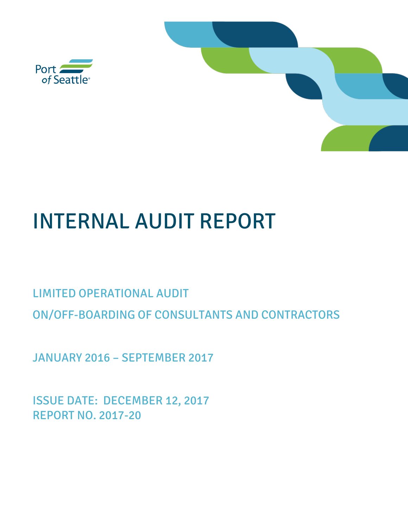

# INTERNAL AUDIT REPORT

# LIMITED OPERATIONAL AUDIT ON/OFF-BOARDING OF CONSULTANTS AND CONTRACTORS

JANUARY 2016 – SEPTEMBER 2017

ISSUE DATE: DECEMBER 12, 2017 REPORT NO. 2017-20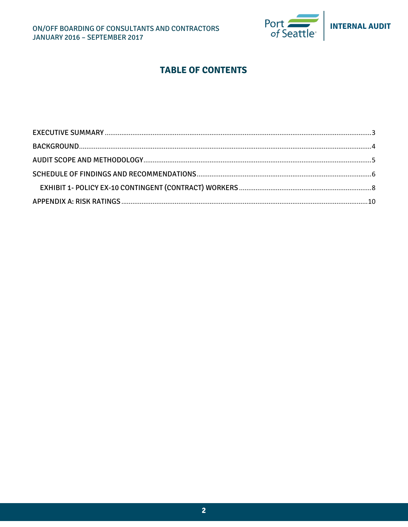

# **TABLE OF CONTENTS**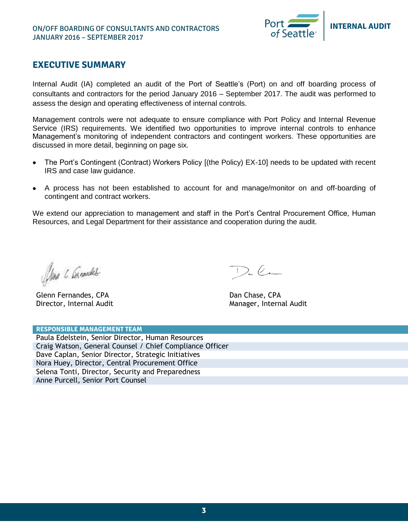

## <span id="page-2-0"></span>**EXECUTIVE SUMMARY**

Internal Audit (IA) completed an audit of the Port of Seattle's (Port) on and off boarding process of consultants and contractors for the period January 2016 – September 2017. The audit was performed to assess the design and operating effectiveness of internal controls.

Management controls were not adequate to ensure compliance with Port Policy and Internal Revenue Service (IRS) requirements. We identified two opportunities to improve internal controls to enhance Management's monitoring of independent contractors and contingent workers. These opportunities are discussed in more detail, beginning on page six.

- The Port's Contingent (Contract) Workers Policy [(the Policy) EX-10] needs to be updated with recent IRS and case law guidance.
- A process has not been established to account for and manage/monitor on and off-boarding of contingent and contract workers.

We extend our appreciation to management and staff in the Port's Central Procurement Office, Human Resources, and Legal Department for their assistance and cooperation during the audit.

Alena C Connected

Glenn Fernandes, CPA Director, Internal Audit

 $D_{n}$ lm

 Dan Chase, CPA Manager, Internal Audit

| <b>RESPONSIBLE MANAGEMENT TEAM</b>                       |  |  |  |  |  |
|----------------------------------------------------------|--|--|--|--|--|
| Paula Edelstein, Senior Director, Human Resources        |  |  |  |  |  |
| Craig Watson, General Counsel / Chief Compliance Officer |  |  |  |  |  |
| Dave Caplan, Senior Director, Strategic Initiatives      |  |  |  |  |  |
| Nora Huey, Director, Central Procurement Office          |  |  |  |  |  |
| Selena Tonti, Director, Security and Preparedness        |  |  |  |  |  |
| Anne Purcell, Senior Port Counsel                        |  |  |  |  |  |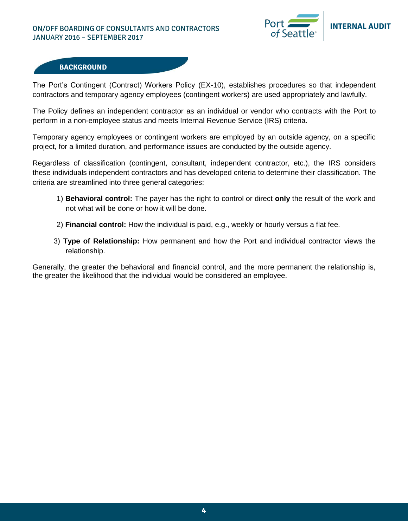#### ON/OFF BOARDING OF CONSULTANTS AND CONTRACTORS JANUARY 2016 – SEPTEMBER 2017



#### **BACKGROUND**

The Port's Contingent (Contract) Workers Policy (EX-10), establishes procedures so that independent contractors and temporary agency employees (contingent workers) are used appropriately and lawfully.

The Policy defines an independent contractor as an individual or vendor who contracts with the Port to perform in a non-employee status and meets Internal Revenue Service (IRS) criteria.

Temporary agency employees or contingent workers are employed by an outside agency, on a specific project, for a limited duration, and performance issues are conducted by the outside agency.

Regardless of classification (contingent, consultant, independent contractor, etc.), the IRS considers these individuals independent contractors and has developed criteria to determine their classification. The criteria are streamlined into three general categories:

- 1) **Behavioral control:** The payer has the right to control or direct **only** the result of the work and not what will be done or how it will be done.
- 2) **Financial control:** How the individual is paid, e.g., weekly or hourly versus a flat fee.
- 3) **Type of Relationship:** How permanent and how the Port and individual contractor views the relationship.

Generally, the greater the behavioral and financial control, and the more permanent the relationship is, the greater the likelihood that the individual would be considered an employee.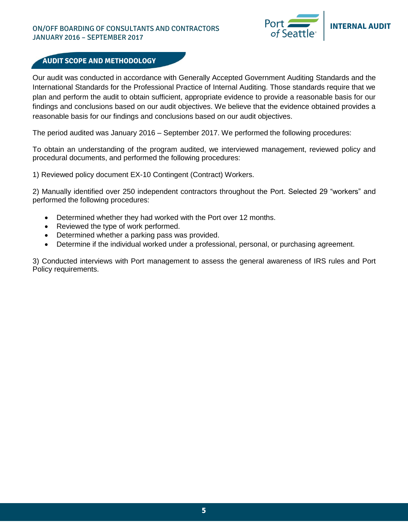#### ON/OFF BOARDING OF CONSULTANTS AND CONTRACTORS JANUARY 2016 – SEPTEMBER 2017



#### **AUDIT SCOPE AND METHODOLOGY**

Our audit was conducted in accordance with Generally Accepted Government Auditing Standards and the International Standards for the Professional Practice of Internal Auditing. Those standards require that we plan and perform the audit to obtain sufficient, appropriate evidence to provide a reasonable basis for our findings and conclusions based on our audit objectives. We believe that the evidence obtained provides a reasonable basis for our findings and conclusions based on our audit objectives.

The period audited was January 2016 – September 2017. We performed the following procedures:

To obtain an understanding of the program audited, we interviewed management, reviewed policy and procedural documents, and performed the following procedures:

1) Reviewed policy document EX-10 Contingent (Contract) Workers.

2) Manually identified over 250 independent contractors throughout the Port. Selected 29 "workers" and performed the following procedures:

- Determined whether they had worked with the Port over 12 months.
- Reviewed the type of work performed.
- Determined whether a parking pass was provided.
- Determine if the individual worked under a professional, personal, or purchasing agreement.

3) Conducted interviews with Port management to assess the general awareness of IRS rules and Port Policy requirements.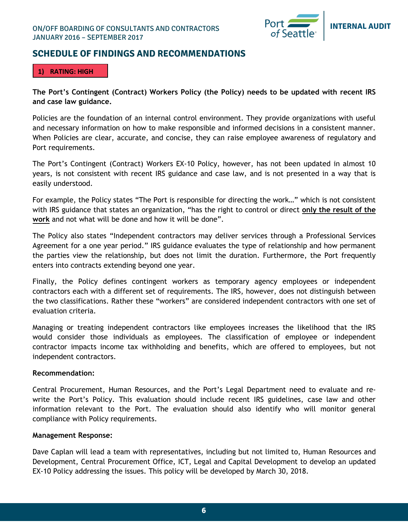

### <span id="page-5-0"></span>**SCHEDULE OF FINDINGS AND RECOMMENDATIONS**

#### **1) RATING: HIGH**

**The Port's Contingent (Contract) Workers Policy (the Policy) needs to be updated with recent IRS and case law guidance.** 

Policies are the foundation of an internal control environment. They provide organizations with useful and necessary information on how to make responsible and informed decisions in a consistent manner. When Policies are clear, accurate, and concise, they can raise employee awareness of regulatory and Port requirements.

The Port's Contingent (Contract) Workers EX-10 Policy, however, has not been updated in almost 10 years, is not consistent with recent IRS guidance and case law, and is not presented in a way that is easily understood.

For example, the Policy states "The Port is responsible for directing the work…" which is not consistent with IRS guidance that states an organization, "has the right to control or direct **only the result of the work** and not what will be done and how it will be done".

The Policy also states "Independent contractors may deliver services through a Professional Services Agreement for a one year period." IRS guidance evaluates the type of relationship and how permanent the parties view the relationship, but does not limit the duration. Furthermore, the Port frequently enters into contracts extending beyond one year.

Finally, the Policy defines contingent workers as temporary agency employees or independent contractors each with a different set of requirements. The IRS, however, does not distinguish between the two classifications. Rather these "workers" are considered independent contractors with one set of evaluation criteria.

Managing or treating independent contractors like employees increases the likelihood that the IRS would consider those individuals as employees. The classification of employee or independent contractor impacts income tax withholding and benefits, which are offered to employees, but not independent contractors.

#### **Recommendation:**

Central Procurement, Human Resources, and the Port's Legal Department need to evaluate and rewrite the Port's Policy. This evaluation should include recent IRS guidelines, case law and other information relevant to the Port. The evaluation should also identify who will monitor general compliance with Policy requirements.

#### **Management Response:**

Dave Caplan will lead a team with representatives, including but not limited to, Human Resources and Development, Central Procurement Office, ICT, Legal and Capital Development to develop an updated EX-10 Policy addressing the issues. This policy will be developed by March 30, 2018.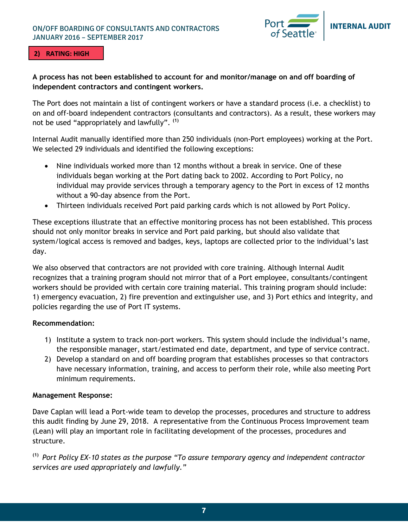#### ON/OFF BOARDING OF CONSULTANTS AND CONTRACTORS JANUARY 2016 – SEPTEMBER 2017



#### **2) RATING: HIGH**

#### **A process has not been established to account for and monitor/manage on and off boarding of independent contractors and contingent workers.**

The Port does not maintain a list of contingent workers or have a standard process (i.e. a checklist) to on and off-board independent contractors (consultants and contractors). As a result, these workers may not be used "appropriately and lawfully". **(1)**

Internal Audit manually identified more than 250 individuals (non-Port employees) working at the Port. We selected 29 individuals and identified the following exceptions:

- Nine individuals worked more than 12 months without a break in service. One of these individuals began working at the Port dating back to 2002. According to Port Policy, no individual may provide services through a temporary agency to the Port in excess of 12 months without a 90-day absence from the Port.
- Thirteen individuals received Port paid parking cards which is not allowed by Port Policy.

These exceptions illustrate that an effective monitoring process has not been established. This process should not only monitor breaks in service and Port paid parking, but should also validate that system/logical access is removed and badges, keys, laptops are collected prior to the individual's last day.

We also observed that contractors are not provided with core training. Although Internal Audit recognizes that a training program should not mirror that of a Port employee, consultants/contingent workers should be provided with certain core training material. This training program should include: 1) emergency evacuation, 2) fire prevention and extinguisher use, and 3) Port ethics and integrity, and policies regarding the use of Port IT systems.

#### **Recommendation:**

- 1) Institute a system to track non-port workers. This system should include the individual's name, the responsible manager, start/estimated end date, department, and type of service contract.
- 2) Develop a standard on and off boarding program that establishes processes so that contractors have necessary information, training, and access to perform their role, while also meeting Port minimum requirements.

#### **Management Response:**

Dave Caplan will lead a Port-wide team to develop the processes, procedures and structure to address this audit finding by June 29, 2018. A representative from the Continuous Process Improvement team (Lean) will play an important role in facilitating development of the processes, procedures and structure.

**(1)** *Port Policy EX-10 states as the purpose "To assure temporary agency and independent contractor services are used appropriately and lawfully."*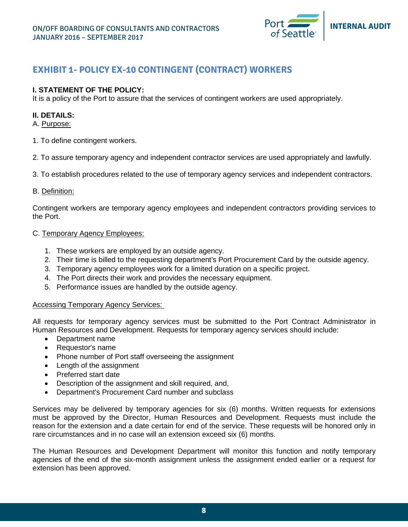

# <span id="page-7-0"></span>**EXHIBIT 1- POLICY EX-10 CONTINGENT (CONTRACT) WORKERS**

#### **I. STATEMENT OF THE POLICY:**

It is a policy of the Port to assure that the services of contingent workers are used appropriately.

#### **II. DETAILS:**

#### A. Purpose:

- 1. To define contingent workers.
- 2. To assure temporary agency and independent contractor services are used appropriately and lawfully.
- 3. To establish procedures related to the use of temporary agency services and independent contractors.

#### B. Definition:

Contingent workers are temporary agency employees and independent contractors providing services to the Port.

#### C. Temporary Agency Employees:

- 1. These workers are employed by an outside agency.
- 2. Their time is billed to the requesting department's Port Procurement Card by the outside agency.
- 3. Temporary agency employees work for a limited duration on a specific project.
- 4. The Port directs their work and provides the necessary equipment.
- 5. Performance issues are handled by the outside agency.

#### Accessing Temporary Agency Services:

All requests for temporary agency services must be submitted to the Port Contract Administrator in Human Resources and Development. Requests for temporary agency services should include:

- Department name
- Requestor's name
- Phone number of Port staff overseeing the assignment
- Length of the assignment
- Preferred start date
- Description of the assignment and skill required, and,
- Department's Procurement Card number and subclass

Services may be delivered by temporary agencies for six (6) months. Written requests for extensions must be approved by the Director, Human Resources and Development. Requests must include the reason for the extension and a date certain for end of the service. These requests will be honored only in rare circumstances and in no case will an extension exceed six (6) months.

The Human Resources and Development Department will monitor this function and notify temporary agencies of the end of the six-month assignment unless the assignment ended earlier or a request for extension has been approved.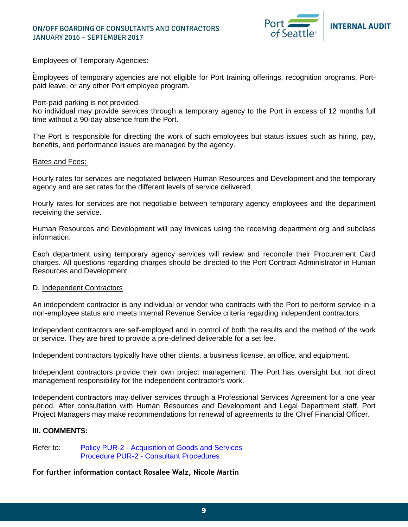

#### Employees of Temporary Agencies:

Employees of temporary agencies are not eligible for Port training offerings, recognition programs, Portpaid leave, or any other Port employee program.

Port-paid parking is not provided.

No individual may provide services through a temporary agency to the Port in excess of 12 months full time without a 90-day absence from the Port.

The Port is responsible for directing the work of such employees but status issues such as hiring, pay, benefits, and performance issues are managed by the agency.

#### Rates and Fees:

Hourly rates for services are negotiated between Human Resources and Development and the temporary agency and are set rates for the different levels of service delivered.

Hourly rates for services are not negotiable between temporary agency employees and the department receiving the service.

Human Resources and Development will pay invoices using the receiving department org and subclass information.

Each department using temporary agency services will review and reconcile their Procurement Card charges. All questions regarding charges should be directed to the Port Contract Administrator in Human Resources and Development.

#### D. Independent Contractors

An independent contractor is any individual or vendor who contracts with the Port to perform service in a non-employee status and meets Internal Revenue Service criteria regarding independent contractors.

Independent contractors are self-employed and in control of both the results and the method of the work or service. They are hired to provide a pre-defined deliverable for a set fee.

Independent contractors typically have other clients, a business license, an office, and equipment.

Independent contractors provide their own project management. The Port has oversight but not direct management responsibility for the independent contractor's work.

Independent contractors may deliver services through a Professional Services Agreement for a one year period. After consultation with Human Resources and Development and Legal Department staff, Port Project Managers may make recommendations for renewal of agreements to the Chief Financial Officer.

#### **III. COMMENTS:**

Refer to: Policy PUR-2 - Acquisition of Goods and Services Procedure PUR-2 - Consultant Procedures

**For further information contact Rosalee Walz, Nicole Martin**